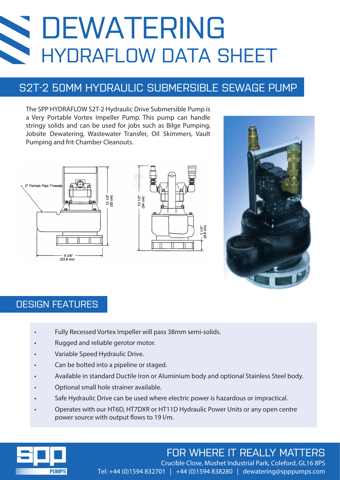# DEWATERING HYDRAFLOW DATA SHEET

## S2T-2 50MM HYDRAULIC SUBMERSIBLE SEWAGE PUMP

The SPP HYDRAFLOW S2T-2 Hydraulic Drive Submersible Pump is a Very Portable Vortex Impeller Pump. This pump can handle stringy solids and can be used for jobs such as Bilge Pumping, Jobsite Dewatering, Wastewater Transfer, Oil Skimmers, Vault Pumping and frit Chamber Cleanouts.







### DESIGN FEATURES

- Fully Recessed Vortex Impeller will pass 38mm semi-solids.
- Rugged and reliable gerotor motor.
- Variable Speed Hydraulic Drive.
- Can be bolted into a pipeline or staged.
- Available in standard Ductile Iron or Aluminium body and optional Stainless Steel body.
- Optional small hole strainer available.
- Safe Hydraulic Drive can be used where electric power is hazardous or impractical.
- Operates with our HT6D, HT7DXR or HT11D Hydraulic Power Units or any open centre power source with output flows to 19 l/m.



## FOR WHERE IT REALLY MATTERS

Crucible Close, Mushet Industrial Park, Coleford, GL16 8PS Tel: +44 (0)1594 832701 | +44 (0)1594 838280 | dewatering@spppumps.com